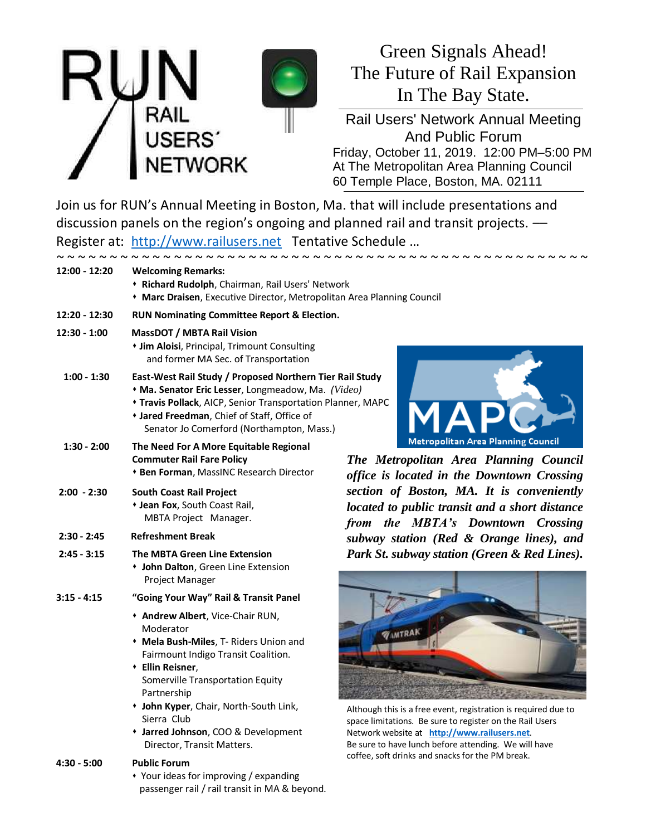

# Green Signals Ahead! The Future of Rail Expansion In The Bay State.

Rail Users' Network Annual Meeting And Public Forum Friday, October 11, 2019. 12:00 PM–5:00 PM At The Metropolitan Area Planning Council 60 Temple Place, Boston, MA. 02111

Join us for RUN's Annual Meeting in Boston, Ma. that will include presentations and discussion panels on the region's ongoing and planned rail and transit projects.  $-$ Register at: [http://www.railusers.net](http://www.railusers.net/) Tentative Schedule …

| $12:00 - 12:20$ | <b>Welcoming Remarks:</b><br>* Richard Rudolph, Chairman, Rail Users' Network<br>• Marc Draisen, Executive Director, Metropolitan Area Planning Council                                                                                                                                                                             |                                                                                                                                                                                                                                                                                        |  |
|-----------------|-------------------------------------------------------------------------------------------------------------------------------------------------------------------------------------------------------------------------------------------------------------------------------------------------------------------------------------|----------------------------------------------------------------------------------------------------------------------------------------------------------------------------------------------------------------------------------------------------------------------------------------|--|
| 12:20 - 12:30   | RUN Nominating Committee Report & Election.                                                                                                                                                                                                                                                                                         |                                                                                                                                                                                                                                                                                        |  |
| $12:30 - 1:00$  | <b>MassDOT / MBTA Rail Vision</b><br><b>* Jim Aloisi</b> , Principal, Trimount Consulting<br>and former MA Sec. of Transportation                                                                                                                                                                                                   |                                                                                                                                                                                                                                                                                        |  |
| $1:00 - 1:30$   | East-West Rail Study / Proposed Northern Tier Rail Study<br>* Ma. Senator Eric Lesser, Longmeadow, Ma. (Video)<br><b>* Travis Pollack</b> , AICP, Senior Transportation Planner, MAPC<br>* Jared Freedman, Chief of Staff, Office of<br>Senator Jo Comerford (Northampton, Mass.)                                                   |                                                                                                                                                                                                                                                                                        |  |
| $1:30 - 2:00$   | The Need For A More Equitable Regional<br><b>Commuter Rail Fare Policy</b><br>* Ben Forman, MassINC Research Director                                                                                                                                                                                                               | Metropolitan Area Planning Council<br>The Metropolitan Area Planning Council<br>office is located in the Downtown Crossing                                                                                                                                                             |  |
| $2:00 - 2:30$   | <b>South Coast Rail Project</b><br>+ Jean Fox, South Coast Rail,<br>MBTA Project Manager.                                                                                                                                                                                                                                           | section of Boston, MA. It is conveniently<br>located to public transit and a short distance<br>from the MBTA's Downtown Crossing                                                                                                                                                       |  |
| $2:30 - 2:45$   | <b>Refreshment Break</b>                                                                                                                                                                                                                                                                                                            | subway station (Red & Orange lines), and                                                                                                                                                                                                                                               |  |
| $2:45 - 3:15$   | <b>The MBTA Green Line Extension</b><br>• John Dalton, Green Line Extension<br>Project Manager                                                                                                                                                                                                                                      | Park St. subway station (Green & Red Lines).                                                                                                                                                                                                                                           |  |
| $3:15 - 4:15$   | "Going Your Way" Rail & Transit Panel                                                                                                                                                                                                                                                                                               |                                                                                                                                                                                                                                                                                        |  |
|                 | + Andrew Albert, Vice-Chair RUN,<br>Moderator<br>• Mela Bush-Miles, T- Riders Union and<br>Fairmount Indigo Transit Coalition.<br>• Ellin Reisner,<br>Somerville Transportation Equity<br>Partnership<br>+ John Kyper, Chair, North-South Link,<br>Sierra Club<br>+ Jarred Johnson, COO & Development<br>Director, Transit Matters. | Although this is a free event, registration is required due to<br>space limitations. Be sure to register on the Rail Users<br>Network website at http://www.railusers.net.<br>Be sure to have lunch before attending. We will have<br>coffee, soft drinks and snacks for the PM break. |  |
| $4:30 - 5:00$   | <b>Public Forum</b>                                                                                                                                                                                                                                                                                                                 |                                                                                                                                                                                                                                                                                        |  |

 Your ideas for improving / expanding passenger rail / rail transit in MA & beyond.